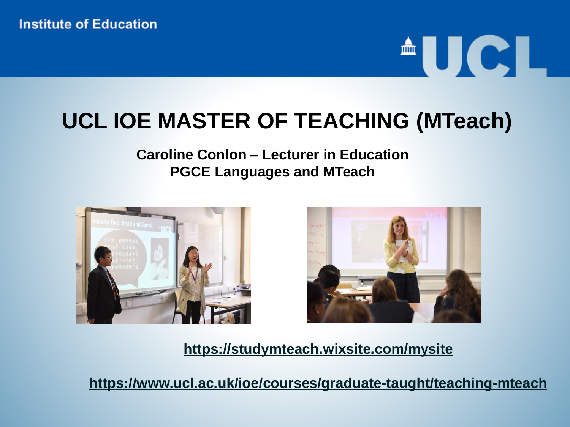# <sup>A</sup>UCL

## **UCL IOE MASTER OF TEACHING (MTeach)**

#### **Caroline Conlon – Lecturer in Education PGCE Languages and MTeach**





**<https://studymteach.wixsite.com/mysite>**

**<https://www.ucl.ac.uk/ioe/courses/graduate-taught/teaching-mteach>**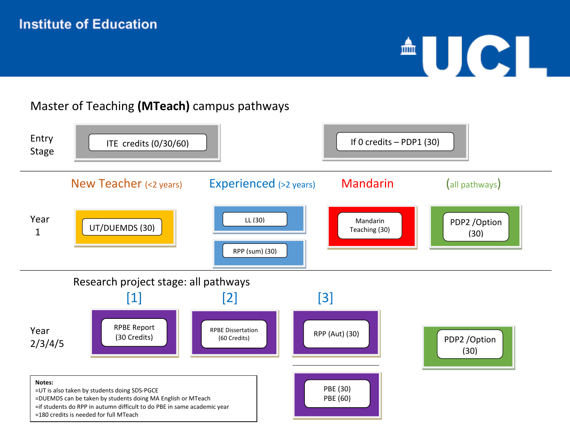#### **Institute of Education**

# $^{\text{A}}$ UCL

#### Master of Teaching **(MTeach)** campus pathways

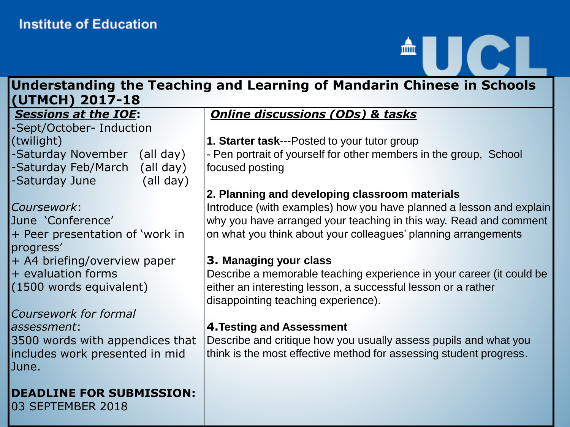| Understanding the Teaching and Learning of Mandarin Chinese in Schools<br>(UTMCH) 2017-18 |                                                                                                                       |
|-------------------------------------------------------------------------------------------|-----------------------------------------------------------------------------------------------------------------------|
| <b>Sessions at the IOE:</b>                                                               | <b>Online discussions (ODs) &amp; tasks</b>                                                                           |
| -Sept/October- Induction                                                                  |                                                                                                                       |
| (twilight)                                                                                | 1. Starter task---Posted to your tutor group                                                                          |
| -Saturday November (all day)<br>-Saturday Feb/March<br>(all day)                          | - Pen portrait of yourself for other members in the group, School<br>focused posting                                  |
| (all day)<br>-Saturday June                                                               |                                                                                                                       |
| Coursework:                                                                               | 2. Planning and developing classroom materials<br>Introduce (with examples) how you have planned a lesson and explain |
| June 'Conference'                                                                         | why you have arranged your teaching in this way. Read and comment                                                     |
| + Peer presentation of 'work in                                                           | on what you think about your colleagues' planning arrangements                                                        |
| progress'                                                                                 |                                                                                                                       |
| + A4 briefing/overview paper                                                              | 3. Managing your class                                                                                                |
| + evaluation forms                                                                        | Describe a memorable teaching experience in your career (it could be                                                  |
| (1500 words equivalent)                                                                   | either an interesting lesson, a successful lesson or a rather                                                         |
|                                                                                           | disappointing teaching experience).                                                                                   |
| Coursework for formal                                                                     |                                                                                                                       |
| assessment:                                                                               | 4. Testing and Assessment                                                                                             |
| 3500 words with appendices that                                                           | Describe and critique how you usually assess pupils and what you                                                      |
| includes work presented in mid<br>June.                                                   | think is the most effective method for assessing student progress.                                                    |
| <b>DEADLINE FOR SUBMISSION:</b><br>03 SEPTEMBER 2018                                      |                                                                                                                       |